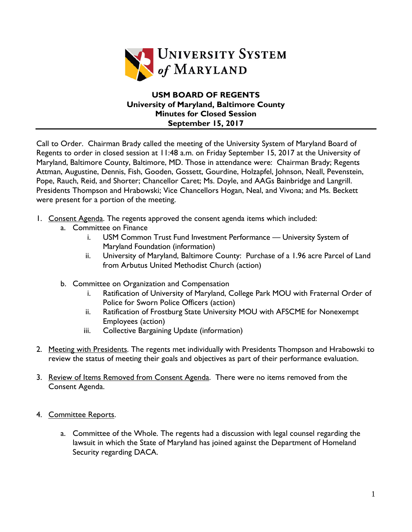

## **USM BOARD OF REGENTS University of Maryland, Baltimore County Minutes for Closed Session September 15, 2017**

Call to Order. Chairman Brady called the meeting of the University System of Maryland Board of Regents to order in closed session at 11:48 a.m. on Friday September 15, 2017 at the University of Maryland, Baltimore County, Baltimore, MD. Those in attendance were: Chairman Brady; Regents Attman, Augustine, Dennis, Fish, Gooden, Gossett, Gourdine, Holzapfel, Johnson, Neall, Pevenstein, Pope, Rauch, Reid, and Shorter; Chancellor Caret; Ms. Doyle, and AAGs Bainbridge and Langrill. Presidents Thompson and Hrabowski; Vice Chancellors Hogan, Neal, and Vivona; and Ms. Beckett were present for a portion of the meeting.

- 1. Consent Agenda. The regents approved the consent agenda items which included:
	- a. Committee on Finance
		- i. USM Common Trust Fund Investment Performance University System of Maryland Foundation (information)
		- ii. University of Maryland, Baltimore County: Purchase of a 1.96 acre Parcel of Land from Arbutus United Methodist Church (action)
	- b. Committee on Organization and Compensation
		- i. Ratification of University of Maryland, College Park MOU with Fraternal Order of Police for Sworn Police Officers (action)
		- ii. Ratification of Frostburg State University MOU with AFSCME for Nonexempt Employees (action)
		- iii. Collective Bargaining Update (information)
- 2. Meeting with Presidents. The regents met individually with Presidents Thompson and Hrabowski to review the status of meeting their goals and objectives as part of their performance evaluation.
- 3. Review of Items Removed from Consent Agenda. There were no items removed from the Consent Agenda.
- 4. Committee Reports.
	- a. Committee of the Whole. The regents had a discussion with legal counsel regarding the lawsuit in which the State of Maryland has joined against the Department of Homeland Security regarding DACA.